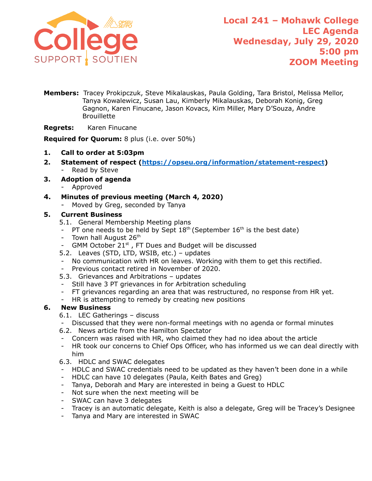

- **Members:** Tracey Prokipczuk, Steve Mikalauskas, Paula Golding, Tara Bristol, Melissa Mellor, Tanya Kowalewicz, Susan Lau, Kimberly Mikalauskas, Deborah Konig, Greg Gagnon, Karen Finucane, Jason Kovacs, Kim Miller, Mary D'Souza, Andre **Brouillette**
- **Regrets:** Karen Finucane

**Required for Quorum:** 8 plus (i.e. over 50%)

- **1. Call to order at 5:03pm**
- **2. Statement of respect (<https://opseu.org/information/statement-respect>)** Read by Steve
- **3. Adoption of agenda**
	- Approved
- **4. Minutes of previous meeting (March 4, 2020)**
	- Moved by Greg, seconded by Tanya

#### **5. Current Business**

- 5.1. General Membership Meeting plans
- PT one needs to be held by Sept  $18<sup>th</sup>$  (September  $16<sup>th</sup>$  is the best date)
- Town hall August  $26<sup>th</sup>$
- GMM October  $21^{st}$ , FT Dues and Budget will be discussed
- 5.2. Leaves (STD, LTD, WSIB, etc.) updates
- No communication with HR on leaves. Working with them to get this rectified.
- Previous contact retired in November of 2020.
- 5.3. Grievances and Arbitrations updates
- Still have 3 PT grievances in for Arbitration scheduling
- FT grievances regarding an area that was restructured, no response from HR yet.
- HR is attempting to remedy by creating new positions

### **6. New Business**

- 6.1. LEC Gatherings discuss
- Discussed that they were non-formal meetings with no agenda or formal minutes
- 6.2. News article from the Hamilton Spectator
- Concern was raised with HR, who claimed they had no idea about the article
- HR took our concerns to Chief Ops Officer, who has informed us we can deal directly with him
- 6.3. HDLC and SWAC delegates
- HDLC and SWAC credentials need to be updated as they haven't been done in a while
- HDLC can have 10 delegates (Paula, Keith Bates and Greg)
- Tanya, Deborah and Mary are interested in being a Guest to HDLC
- Not sure when the next meeting will be
- SWAC can have 3 delegates
- Tracey is an automatic delegate, Keith is also a delegate, Greg will be Tracey's Designee
- Tanya and Mary are interested in SWAC